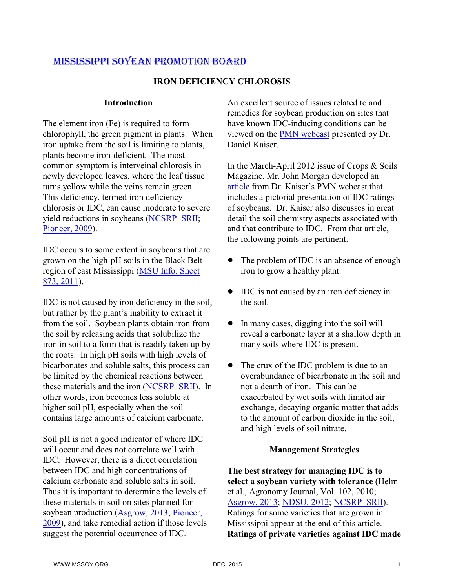#### **IRON DEFICIENCY CHLOROSIS**

#### **Introduction**

The element iron (Fe) is required to form chlorophyll, the green pigment in plants. When iron uptake from the soil is limiting to plants, plants become iron-deficient. The most common symptom is interveinal chlorosis in newly developed leaves, where the leaf tissue turns yellow while the veins remain green. This deficiency, termed iron deficiency chlorosis or IDC, can cause moderate to severe yield reductions in soybeans [\(NCSRP–SRII](http://www.soybeanresearchinfo.com/diseases/irondeficiencychlorosis.html); [Pioneer, 2009](http://www.vffarms.com/media/S06_Soybean_Iron_Chlorosis.pdf)).

IDC occurs to some extent in soybeans that are grown on the high-pH soils in the Black Belt region of east Mississippi [\(MSU Info. Sheet](http://msucares.com/pubs/infosheets/is0873.pdf) [873, 2011](http://msucares.com/pubs/infosheets/is0873.pdf)).

IDC is not caused by iron deficiency in the soil, but rather by the plant's inability to extract it from the soil. Soybean plants obtain iron from the soil by releasing acids that solubilize the iron in soil to a form that is readily taken up by the roots. In high pH soils with high levels of bicarbonates and soluble salts, this process can be limited by the chemical reactions between these materials and the iron [\(NCSRP–SRII](http://www.soybeanresearchinfo.com/diseases/irondeficiencychlorosis.html)). In other words, iron becomes less soluble at higher soil pH, especially when the soil contains large amounts of calcium carbonate.

Soil pH is not a good indicator of where IDC will occur and does not correlate well with IDC. However, there is a direct correlation between IDC and high concentrations of calcium carbonate and soluble salts in soil. Thus it is important to determine the levels of these materials in soil on sites planned for soybean production [\(Asgrow, 2013](http://www.aganytime.com/Documents/ArticlePDFs/Iron%20Deficiency%20Chlorosis%20in%20Soybean%20-%20Asgrow%20-%20Alert.pdf); [Pioneer,](http://www.vffarms.com/media/S06_Soybean_Iron_Chlorosis.pdf) [2009](http://www.vffarms.com/media/S06_Soybean_Iron_Chlorosis.pdf)), and take remedial action if those levels suggest the potential occurrence of IDC.

An excellent source of issues related to and remedies for soybean production on sites that have known IDC-inducing conditions can be viewed on the [PMN webcast](http://www.plantmanagementnetwork.org/edcenter/seminars/IDC/) presented by Dr. Daniel Kaiser.

In the March-April 2012 issue of Crops & Soils Magazine, Mr. John Morgan developed an [article](https://www.agronomy.org/files/publications/crops-and-soils/iron-deficiency-chlorosis.pdf) from Dr. Kaiser's PMN webcast that includes a pictorial presentation of IDC ratings of soybeans. Dr. Kaiser also discusses in great detail the soil chemistry aspects associated with and that contribute to IDC. From that article, the following points are pertinent.

- The problem of IDC is an absence of enough iron to grow a healthy plant.
- IDC is not caused by an iron deficiency in the soil.
- In many cases, digging into the soil will reveal a carbonate layer at a shallow depth in many soils where IDC is present.
- The crux of the IDC problem is due to an overabundance of bicarbonate in the soil and not a dearth of iron. This can be exacerbated by wet soils with limited air exchange, decaying organic matter that adds to the amount of carbon dioxide in the soil, and high levels of soil nitrate.

#### **Management Strategies**

**The best strategy for managing IDC is to select a soybean variety with tolerance** (Helm et al., Agronomy Journal, Vol. 102, 2010; [Asgrow, 2013](http://www.aganytime.com/Documents/ArticlePDFs/Iron%20Deficiency%20Chlorosis%20in%20Soybean%20-%20Asgrow%20-%20Alert.pdf); [NDSU, 2012](http://www.ag.ndsu.edu/cpr/soils/iron-deficiency-chlorosis-in-soybeans-6-28-12); [NCSRP–SRII](http://www.soybeanresearchinfo.com/diseases/irondeficiencychlorosis.html)). Ratings for some varieties that are grown in Mississippi appear at the end of this article. **Ratings of private varieties against IDC made**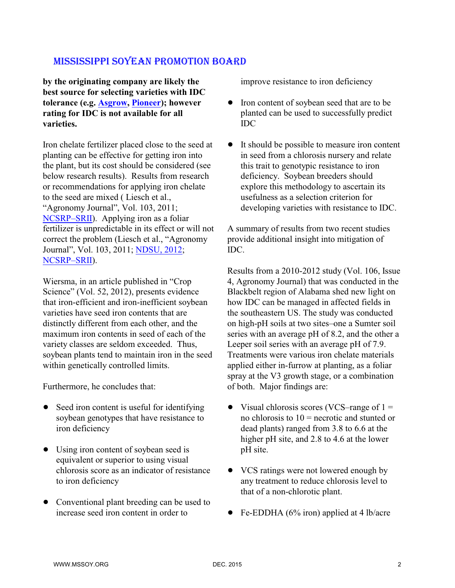**by the originating company are likely the best source for selecting varieties with IDC tolerance (e.g. [Asgrow](http://www.agseedselect.com/product-library), [Pioneer](https://www.pioneer.com/home/site/us/products/soybean/www.pioneer.com)); however rating for IDC is not available for all varieties.**

Iron chelate fertilizer placed close to the seed at planting can be effective for getting iron into the plant, but its cost should be considered (see below research results). Results from research or recommendations for applying iron chelate to the seed are mixed ( Liesch et al., "Agronomy Journal", Vol. 103, 2011; [NCSRP–SRII](http://www.soybeanresearchinfo.com/diseases/irondeficiencychlorosis.html)). Applying iron as a foliar fertilizer is unpredictable in its effect or will not correct the problem (Liesch et al., "Agronomy Journal", Vol. 103, 2011; [NDSU, 2012](http://www.ag.ndsu.edu/cpr/soils/iron-deficiency-chlorosis-in-soybeans-6-28-12); [NCSRP–SRII](http://www.soybeanresearchinfo.com/diseases/irondeficiencychlorosis.html)).

Wiersma, in an article published in "Crop Science" (Vol. 52, 2012), presents evidence that iron-efficient and iron-inefficient soybean varieties have seed iron contents that are distinctly different from each other, and the maximum iron contents in seed of each of the variety classes are seldom exceeded. Thus, soybean plants tend to maintain iron in the seed within genetically controlled limits.

Furthermore, he concludes that:

- Seed iron content is useful for identifying soybean genotypes that have resistance to iron deficiency
- Using iron content of soybean seed is equivalent or superior to using visual chlorosis score as an indicator of resistance to iron deficiency
- Conventional plant breeding can be used to increase seed iron content in order to

improve resistance to iron deficiency

- Iron content of soybean seed that are to be planted can be used to successfully predict IDC
- It should be possible to measure iron content in seed from a chlorosis nursery and relate this trait to genotypic resistance to iron deficiency. Soybean breeders should explore this methodology to ascertain its usefulness as a selection criterion for developing varieties with resistance to IDC.

A summary of results from two recent studies provide additional insight into mitigation of IDC.

Results from a 2010-2012 study (Vol. 106, Issue 4, Agronomy Journal) that was conducted in the Blackbelt region of Alabama shed new light on how IDC can be managed in affected fields in the southeastern US. The study was conducted on high-pH soils at two sites–one a Sumter soil series with an average pH of 8.2, and the other a Leeper soil series with an average pH of 7.9. Treatments were various iron chelate materials applied either in-furrow at planting, as a foliar spray at the V3 growth stage, or a combination of both. Major findings are:

- Visual chlorosis scores (VCS–range of  $1 =$ no chlorosis to  $10$  = necrotic and stunted or dead plants) ranged from 3.8 to 6.6 at the higher pH site, and 2.8 to 4.6 at the lower pH site.
- VCS ratings were not lowered enough by any treatment to reduce chlorosis level to that of a non-chlorotic plant.
- Fe-EDDHA ( $6\%$  iron) applied at 4 lb/acre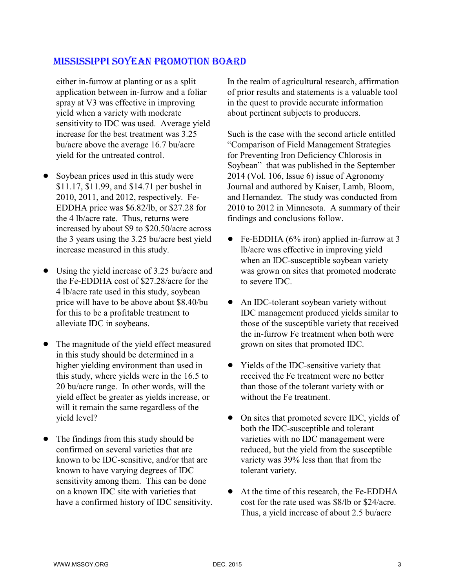either in-furrow at planting or as a split application between in-furrow and a foliar spray at V3 was effective in improving yield when a variety with moderate sensitivity to IDC was used. Average yield increase for the best treatment was 3.25 bu/acre above the average 16.7 bu/acre yield for the untreated control.

- Soybean prices used in this study were \$11.17, \$11.99, and \$14.71 per bushel in 2010, 2011, and 2012, respectively. Fe-EDDHA price was \$6.82/lb, or \$27.28 for the 4 lb/acre rate. Thus, returns were increased by about \$9 to \$20.50/acre across the 3 years using the 3.25 bu/acre best yield increase measured in this study.
- Using the yield increase of 3.25 bu/acre and the Fe-EDDHA cost of \$27.28/acre for the 4 lb/acre rate used in this study, soybean price will have to be above about \$8.40/bu for this to be a profitable treatment to alleviate IDC in soybeans.
- The magnitude of the yield effect measured in this study should be determined in a higher yielding environment than used in this study, where yields were in the 16.5 to 20 bu/acre range. In other words, will the yield effect be greater as yields increase, or will it remain the same regardless of the yield level?
- The findings from this study should be confirmed on several varieties that are known to be IDC-sensitive, and/or that are known to have varying degrees of IDC sensitivity among them. This can be done on a known IDC site with varieties that have a confirmed history of IDC sensitivity.

In the realm of agricultural research, affirmation of prior results and statements is a valuable tool in the quest to provide accurate information about pertinent subjects to producers.

Such is the case with the second article entitled "Comparison of Field Management Strategies for Preventing Iron Deficiency Chlorosis in Soybean" that was published in the September 2014 (Vol. 106, Issue 6) issue of Agronomy Journal and authored by Kaiser, Lamb, Bloom, and Hernandez. The study was conducted from 2010 to 2012 in Minnesota. A summary of their findings and conclusions follow.

- Fe-EDDHA ( $6\%$  iron) applied in-furrow at 3 lb/acre was effective in improving yield when an IDC-susceptible soybean variety was grown on sites that promoted moderate to severe IDC.
- An IDC-tolerant soybean variety without IDC management produced yields similar to those of the susceptible variety that received the in-furrow Fe treatment when both were grown on sites that promoted IDC.
- Yields of the IDC-sensitive variety that received the Fe treatment were no better than those of the tolerant variety with or without the Fe treatment.
- On sites that promoted severe IDC, yields of both the IDC-susceptible and tolerant varieties with no IDC management were reduced, but the yield from the susceptible variety was 39% less than that from the tolerant variety.
- At the time of this research, the Fe-EDDHA cost for the rate used was \$8/lb or \$24/acre. Thus, a yield increase of about 2.5 bu/acre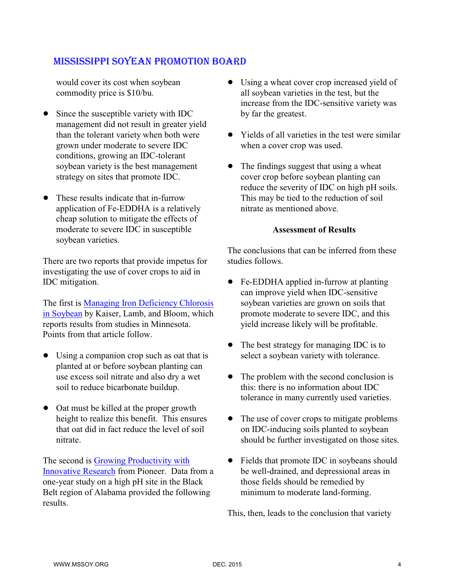would cover its cost when soybean commodity price is \$10/bu.

- Since the susceptible variety with IDC management did not result in greater yield than the tolerant variety when both were grown under moderate to severe IDC conditions, growing an IDC-tolerant soybean variety is the best management strategy on sites that promote IDC.
- These results indicate that in-furrow application of Fe-EDDHA is a relatively cheap solution to mitigate the effects of moderate to severe IDC in susceptible soybean varieties.

There are two reports that provide impetus for investigating the use of cover crops to aid in IDC mitigation.

The first is [Managing Iron Deficiency Chlorosis](http://www.extension.umn.edu/agriculture/nutrient-management/micronutrients/managing-iron-deficiency-chlorosis-in-soybean/docs/FO-08672.pdf) [in Soybean](http://www.extension.umn.edu/agriculture/nutrient-management/micronutrients/managing-iron-deficiency-chlorosis-in-soybean/docs/FO-08672.pdf) by Kaiser, Lamb, and Bloom, which reports results from studies in Minnesota. Points from that article follow.

- Using a companion crop such as oat that is planted at or before soybean planting can use excess soil nitrate and also dry a wet soil to reduce bicarbonate buildup.
- Oat must be killed at the proper growth height to realize this benefit. This ensures that oat did in fact reduce the level of soil nitrate.

The second is [Growing Productivity with](https://www.pioneer.com/CMRoot/Pioneer/Canada_en/products/soybeans/Growing_Productivity_-_Soybeans_2013.pdf) [Innovative Research](https://www.pioneer.com/CMRoot/Pioneer/Canada_en/products/soybeans/Growing_Productivity_-_Soybeans_2013.pdf) from Pioneer. Data from a one-year study on a high pH site in the Black Belt region of Alabama provided the following results.

- Using a wheat cover crop increased yield of all soybean varieties in the test, but the increase from the IDC-sensitive variety was by far the greatest.
- Yields of all varieties in the test were similar when a cover crop was used.
- The findings suggest that using a wheat cover crop before soybean planting can reduce the severity of IDC on high pH soils. This may be tied to the reduction of soil nitrate as mentioned above.

#### **Assessment of Results**

The conclusions that can be inferred from these studies follows.

- Fe-EDDHA applied in-furrow at planting can improve yield when IDC-sensitive soybean varieties are grown on soils that promote moderate to severe IDC, and this yield increase likely will be profitable.
- The best strategy for managing IDC is to select a soybean variety with tolerance.
- The problem with the second conclusion is this: there is no information about IDC tolerance in many currently used varieties.
- The use of cover crops to mitigate problems on IDC-inducing soils planted to soybean should be further investigated on those sites.
- Fields that promote IDC in soybeans should be well-drained, and depressional areas in those fields should be remedied by minimum to moderate land-forming.

This, then, leads to the conclusion that variety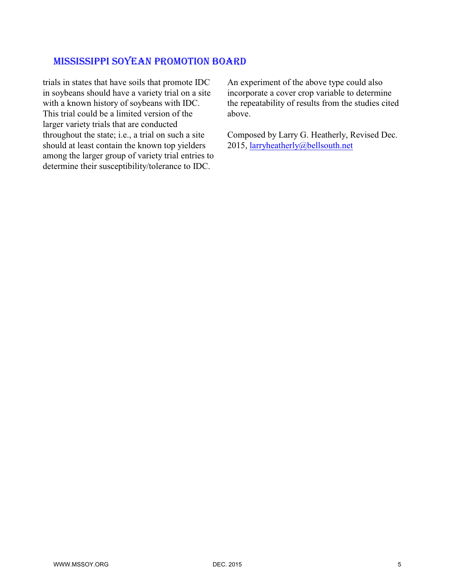trials in states that have soils that promote IDC in soybeans should have a variety trial on a site with a known history of soybeans with IDC. This trial could be a limited version of the larger variety trials that are conducted throughout the state; i.e., a trial on such a site should at least contain the known top yielders among the larger group of variety trial entries to determine their susceptibility/tolerance to IDC.

An experiment of the above type could also incorporate a cover crop variable to determine the repeatability of results from the studies cited above.

Composed by Larry G. Heatherly, Revised Dec. 2015, [larryheatherly@bellsouth.net](mailto:larryheatherly@bellsouth.net)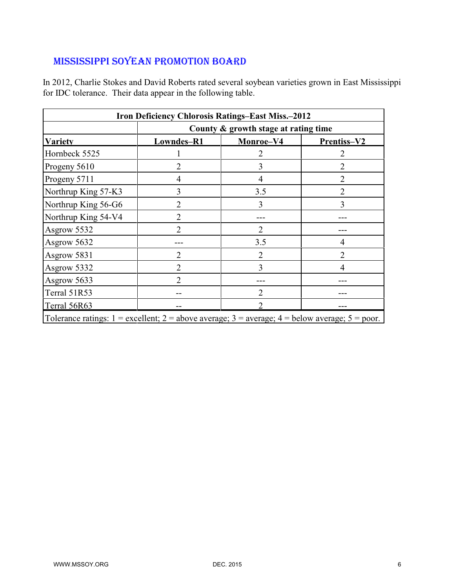In 2012, Charlie Stokes and David Roberts rated several soybean varieties grown in East Mississippi for IDC tolerance. Their data appear in the following table.

| <b>Iron Deficiency Chlorosis Ratings-East Miss.-2012</b>                                                 |                                      |                |                |  |  |  |  |  |  |
|----------------------------------------------------------------------------------------------------------|--------------------------------------|----------------|----------------|--|--|--|--|--|--|
|                                                                                                          | County & growth stage at rating time |                |                |  |  |  |  |  |  |
| <b>Variety</b>                                                                                           | Lowndes-R1                           | Monroe-V4      | Prentiss-V2    |  |  |  |  |  |  |
| Hornbeck 5525                                                                                            |                                      | 2              | 2              |  |  |  |  |  |  |
| Progeny 5610                                                                                             | $\overline{2}$                       | 3              | $\overline{2}$ |  |  |  |  |  |  |
| Progeny 5711                                                                                             | 4                                    | 4              | 2              |  |  |  |  |  |  |
| Northrup King 57-K3                                                                                      | 3                                    | 3.5            | $\overline{2}$ |  |  |  |  |  |  |
| Northrup King 56-G6                                                                                      | $\overline{2}$                       | 3              | 3              |  |  |  |  |  |  |
| Northrup King 54-V4                                                                                      | $\overline{2}$                       |                |                |  |  |  |  |  |  |
| Asgrow 5532                                                                                              | $\overline{2}$                       | $\overline{2}$ |                |  |  |  |  |  |  |
| Asgrow 5632                                                                                              |                                      | 3.5            | 4              |  |  |  |  |  |  |
| Asgrow 5831                                                                                              | $\overline{2}$                       | 2              | $\overline{2}$ |  |  |  |  |  |  |
| Asgrow 5332                                                                                              | $\overline{2}$                       | 3              | 4              |  |  |  |  |  |  |
| Asgrow 5633                                                                                              | 2                                    |                |                |  |  |  |  |  |  |
| Terral 51R53                                                                                             |                                      | $\overline{2}$ |                |  |  |  |  |  |  |
| Terral 56R63                                                                                             |                                      | $\mathcal{D}$  |                |  |  |  |  |  |  |
| Tolerance ratings: $1 =$ excellent; $2 =$ above average; $3 =$ average; $4 =$ below average; $5 =$ poor. |                                      |                |                |  |  |  |  |  |  |